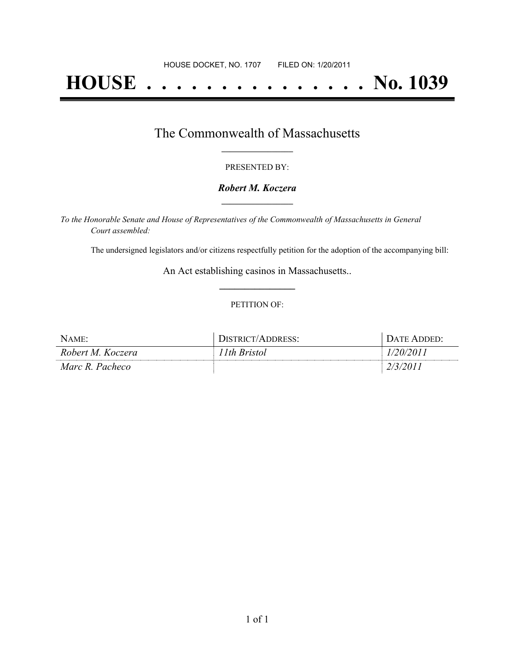# **HOUSE . . . . . . . . . . . . . . . No. 1039**

### The Commonwealth of Massachusetts **\_\_\_\_\_\_\_\_\_\_\_\_\_\_\_\_\_**

### PRESENTED BY:

### *Robert M. Koczera* **\_\_\_\_\_\_\_\_\_\_\_\_\_\_\_\_\_**

*To the Honorable Senate and House of Representatives of the Commonwealth of Massachusetts in General Court assembled:*

The undersigned legislators and/or citizens respectfully petition for the adoption of the accompanying bill:

An Act establishing casinos in Massachusetts.. **\_\_\_\_\_\_\_\_\_\_\_\_\_\_\_**

### PETITION OF:

| NAME:              | <b>STRICT/</b><br>ADDRESS: | $\lambda$ TF<br>ADDED: |
|--------------------|----------------------------|------------------------|
| Robert M. Koczera  | <b>Bristol</b><br>th       | ,,,,                   |
| Marc R_<br>Pacheco |                            |                        |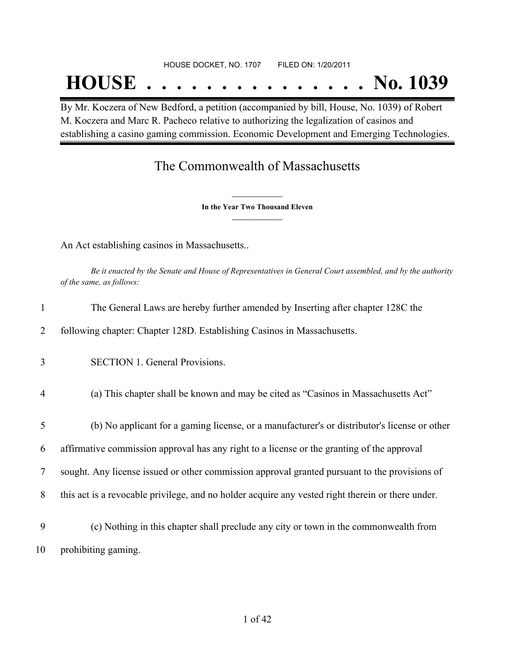### HOUSE DOCKET, NO. 1707 FILED ON: 1/20/2011

## **HOUSE . . . . . . . . . . . . . . . No. 1039**

By Mr. Koczera of New Bedford, a petition (accompanied by bill, House, No. 1039) of Robert M. Koczera and Marc R. Pacheco relative to authorizing the legalization of casinos and establishing a casino gaming commission. Economic Development and Emerging Technologies.

## The Commonwealth of Massachusetts

**\_\_\_\_\_\_\_\_\_\_\_\_\_\_\_ In the Year Two Thousand Eleven \_\_\_\_\_\_\_\_\_\_\_\_\_\_\_**

An Act establishing casinos in Massachusetts..

Be it enacted by the Senate and House of Representatives in General Court assembled, and by the authority *of the same, as follows:*

| $\mathbf{1}$   | The General Laws are hereby further amended by Inserting after chapter 128C the                   |
|----------------|---------------------------------------------------------------------------------------------------|
| 2              | following chapter: Chapter 128D. Establishing Casinos in Massachusetts.                           |
| 3              | <b>SECTION 1. General Provisions.</b>                                                             |
| $\overline{4}$ | (a) This chapter shall be known and may be cited as "Casinos in Massachusetts Act"                |
| 5              | (b) No applicant for a gaming license, or a manufacturer's or distributor's license or other      |
| 6              | affirmative commission approval has any right to a license or the granting of the approval        |
| 7              | sought. Any license issued or other commission approval granted pursuant to the provisions of     |
| 8              | this act is a revocable privilege, and no holder acquire any vested right therein or there under. |
| 9              | (c) Nothing in this chapter shall preclude any city or town in the commonwealth from              |
| 10             | prohibiting gaming.                                                                               |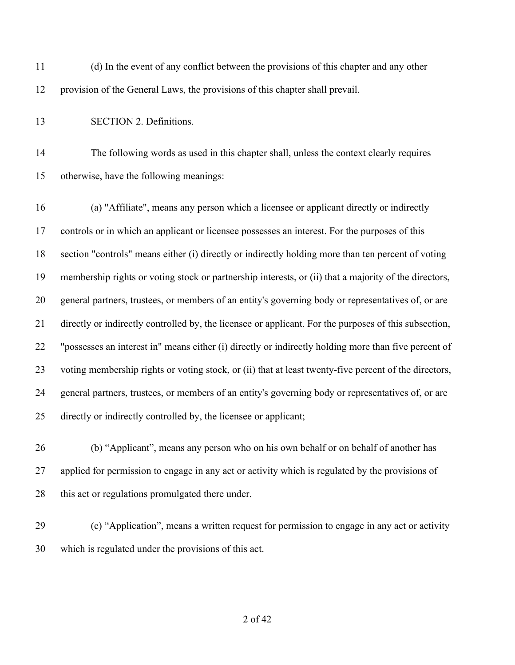| 11 | (d) In the event of any conflict between the provisions of this chapter and any other                 |
|----|-------------------------------------------------------------------------------------------------------|
| 12 | provision of the General Laws, the provisions of this chapter shall prevail.                          |
| 13 | SECTION 2. Definitions.                                                                               |
| 14 | The following words as used in this chapter shall, unless the context clearly requires                |
| 15 | otherwise, have the following meanings:                                                               |
| 16 | (a) "Affiliate", means any person which a licensee or applicant directly or indirectly                |
| 17 | controls or in which an applicant or licensee possesses an interest. For the purposes of this         |
| 18 | section "controls" means either (i) directly or indirectly holding more than ten percent of voting    |
| 19 | membership rights or voting stock or partnership interests, or (ii) that a majority of the directors, |
| 20 | general partners, trustees, or members of an entity's governing body or representatives of, or are    |
| 21 | directly or indirectly controlled by, the licensee or applicant. For the purposes of this subsection, |
| 22 | "possesses an interest in" means either (i) directly or indirectly holding more than five percent of  |
| 23 | voting membership rights or voting stock, or (ii) that at least twenty-five percent of the directors, |
| 24 | general partners, trustees, or members of an entity's governing body or representatives of, or are    |
| 25 | directly or indirectly controlled by, the licensee or applicant;                                      |
| 26 | (b) "Applicant", means any person who on his own behalf or on behalf of another has                   |
| 27 | applied for permission to engage in any act or activity which is regulated by the provisions of       |

- this act or regulations promulgated there under.
- (c) "Application", means a written request for permission to engage in any act or activity which is regulated under the provisions of this act.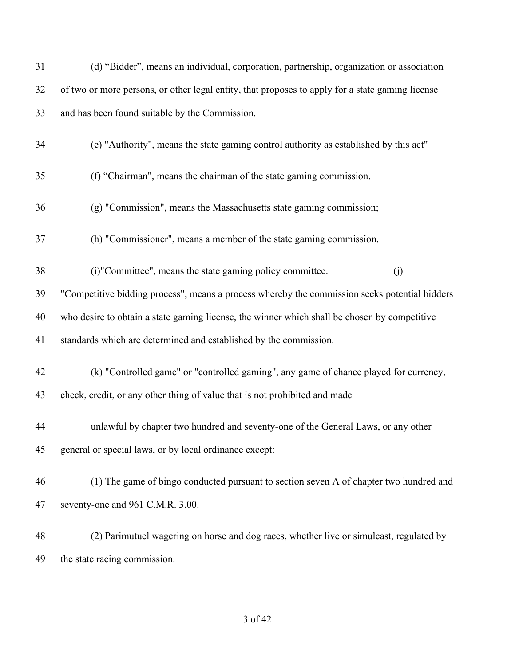| 31 | (d) "Bidder", means an individual, corporation, partnership, organization or association         |
|----|--------------------------------------------------------------------------------------------------|
| 32 | of two or more persons, or other legal entity, that proposes to apply for a state gaming license |
| 33 | and has been found suitable by the Commission.                                                   |
| 34 | (e) "Authority", means the state gaming control authority as established by this act"            |
| 35 | (f) "Chairman", means the chairman of the state gaming commission.                               |
| 36 | (g) "Commission", means the Massachusetts state gaming commission;                               |
| 37 | (h) "Commissioner", means a member of the state gaming commission.                               |
| 38 | (i)"Committee", means the state gaming policy committee.<br>(j)                                  |
| 39 | "Competitive bidding process", means a process whereby the commission seeks potential bidders    |
| 40 | who desire to obtain a state gaming license, the winner which shall be chosen by competitive     |
| 41 | standards which are determined and established by the commission.                                |
| 42 | (k) "Controlled game" or "controlled gaming", any game of chance played for currency,            |
| 43 | check, credit, or any other thing of value that is not prohibited and made                       |
| 44 | unlawful by chapter two hundred and seventy-one of the General Laws, or any other                |
| 45 | general or special laws, or by local ordinance except:                                           |
| 46 | (1) The game of bingo conducted pursuant to section seven A of chapter two hundred and           |
| 47 | seventy-one and 961 C.M.R. 3.00.                                                                 |
| 48 | (2) Parimutuel wagering on horse and dog races, whether live or simulcast, regulated by          |
| 49 | the state racing commission.                                                                     |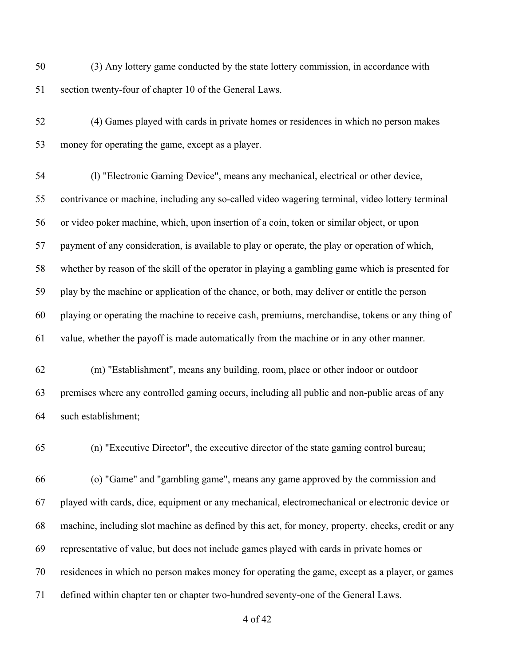(3) Any lottery game conducted by the state lottery commission, in accordance with section twenty-four of chapter 10 of the General Laws.

 (4) Games played with cards in private homes or residences in which no person makes money for operating the game, except as a player.

 (l) "Electronic Gaming Device", means any mechanical, electrical or other device, contrivance or machine, including any so-called video wagering terminal, video lottery terminal or video poker machine, which, upon insertion of a coin, token or similar object, or upon payment of any consideration, is available to play or operate, the play or operation of which, whether by reason of the skill of the operator in playing a gambling game which is presented for play by the machine or application of the chance, or both, may deliver or entitle the person playing or operating the machine to receive cash, premiums, merchandise, tokens or any thing of value, whether the payoff is made automatically from the machine or in any other manner.

 (m) "Establishment", means any building, room, place or other indoor or outdoor premises where any controlled gaming occurs, including all public and non-public areas of any such establishment;

(n) "Executive Director", the executive director of the state gaming control bureau;

 (o) "Game" and "gambling game", means any game approved by the commission and played with cards, dice, equipment or any mechanical, electromechanical or electronic device or machine, including slot machine as defined by this act, for money, property, checks, credit or any representative of value, but does not include games played with cards in private homes or residences in which no person makes money for operating the game, except as a player, or games defined within chapter ten or chapter two-hundred seventy-one of the General Laws.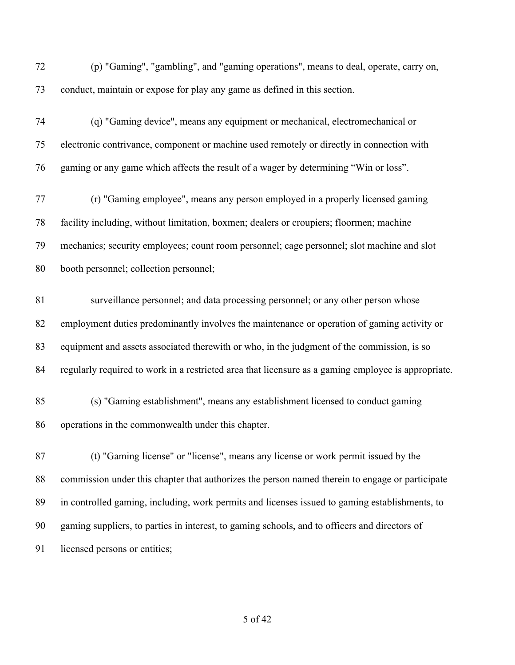| 72 | (p) "Gaming", "gambling", and "gaming operations", means to deal, operate, carry on,                |
|----|-----------------------------------------------------------------------------------------------------|
| 73 | conduct, maintain or expose for play any game as defined in this section.                           |
| 74 | (q) "Gaming device", means any equipment or mechanical, electromechanical or                        |
| 75 | electronic contrivance, component or machine used remotely or directly in connection with           |
| 76 | gaming or any game which affects the result of a wager by determining "Win or loss".                |
| 77 | (r) "Gaming employee", means any person employed in a properly licensed gaming                      |
| 78 | facility including, without limitation, boxmen; dealers or croupiers; floormen; machine             |
| 79 | mechanics; security employees; count room personnel; cage personnel; slot machine and slot          |
| 80 | booth personnel; collection personnel;                                                              |
| 81 | surveillance personnel; and data processing personnel; or any other person whose                    |
| 82 | employment duties predominantly involves the maintenance or operation of gaming activity or         |
| 83 | equipment and assets associated therewith or who, in the judgment of the commission, is so          |
| 84 | regularly required to work in a restricted area that licensure as a gaming employee is appropriate. |
| 85 | (s) "Gaming establishment", means any establishment licensed to conduct gaming                      |
| 86 | operations in the commonwealth under this chapter.                                                  |
| 87 | (t) "Gaming license" or "license", means any license or work permit issued by the                   |
| 88 | commission under this chapter that authorizes the person named therein to engage or participate     |
| 89 | in controlled gaming, including, work permits and licenses issued to gaming establishments, to      |
| 90 | gaming suppliers, to parties in interest, to gaming schools, and to officers and directors of       |
| 91 | licensed persons or entities;                                                                       |
|    |                                                                                                     |

of 42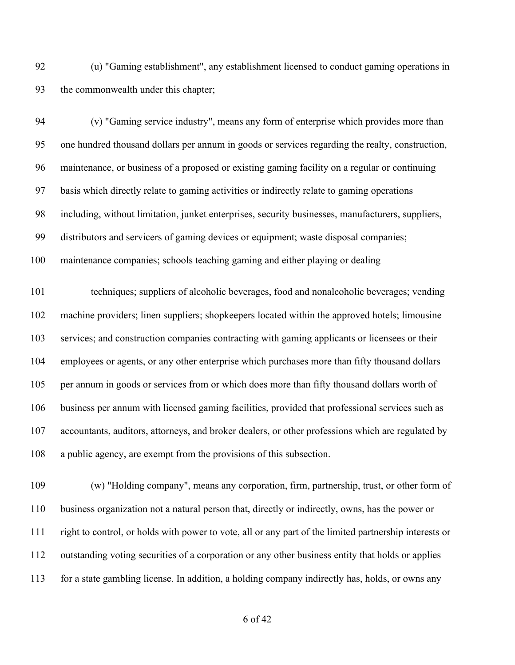(u) "Gaming establishment", any establishment licensed to conduct gaming operations in the commonwealth under this chapter;

 (v) "Gaming service industry", means any form of enterprise which provides more than one hundred thousand dollars per annum in goods or services regarding the realty, construction, maintenance, or business of a proposed or existing gaming facility on a regular or continuing basis which directly relate to gaming activities or indirectly relate to gaming operations including, without limitation, junket enterprises, security businesses, manufacturers, suppliers, distributors and servicers of gaming devices or equipment; waste disposal companies; maintenance companies; schools teaching gaming and either playing or dealing

 techniques; suppliers of alcoholic beverages, food and nonalcoholic beverages; vending machine providers; linen suppliers; shopkeepers located within the approved hotels; limousine services; and construction companies contracting with gaming applicants or licensees or their employees or agents, or any other enterprise which purchases more than fifty thousand dollars per annum in goods or services from or which does more than fifty thousand dollars worth of business per annum with licensed gaming facilities, provided that professional services such as accountants, auditors, attorneys, and broker dealers, or other professions which are regulated by a public agency, are exempt from the provisions of this subsection.

 (w) "Holding company", means any corporation, firm, partnership, trust, or other form of business organization not a natural person that, directly or indirectly, owns, has the power or right to control, or holds with power to vote, all or any part of the limited partnership interests or outstanding voting securities of a corporation or any other business entity that holds or applies for a state gambling license. In addition, a holding company indirectly has, holds, or owns any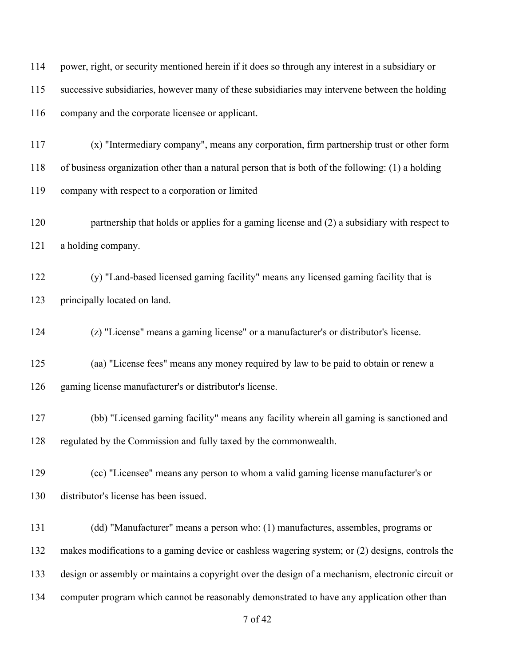| 114 | power, right, or security mentioned herein if it does so through any interest in a subsidiary or  |
|-----|---------------------------------------------------------------------------------------------------|
| 115 | successive subsidiaries, however many of these subsidiaries may intervene between the holding     |
| 116 | company and the corporate licensee or applicant.                                                  |
| 117 | (x) "Intermediary company", means any corporation, firm partnership trust or other form           |
| 118 | of business organization other than a natural person that is both of the following: (1) a holding |
| 119 | company with respect to a corporation or limited                                                  |
| 120 | partnership that holds or applies for a gaming license and (2) a subsidiary with respect to       |
| 121 | a holding company.                                                                                |
| 122 | (y) "Land-based licensed gaming facility" means any licensed gaming facility that is              |
| 123 | principally located on land.                                                                      |
| 124 | (z) "License" means a gaming license" or a manufacturer's or distributor's license.               |
| 125 | (aa) "License fees" means any money required by law to be paid to obtain or renew a               |
| 126 | gaming license manufacturer's or distributor's license.                                           |
| 127 | (bb) "Licensed gaming facility" means any facility wherein all gaming is sanctioned and           |
| 128 | regulated by the Commission and fully taxed by the commonwealth.                                  |
| 129 | (cc) "Licensee" means any person to whom a valid gaming license manufacturer's or                 |
| 130 | distributor's license has been issued.                                                            |
| 131 | (dd) "Manufacturer" means a person who: (1) manufactures, assembles, programs or                  |
| 132 | makes modifications to a gaming device or cashless wagering system; or (2) designs, controls the  |
| 133 | design or assembly or maintains a copyright over the design of a mechanism, electronic circuit or |
| 134 | computer program which cannot be reasonably demonstrated to have any application other than       |
|     | 7 of 42                                                                                           |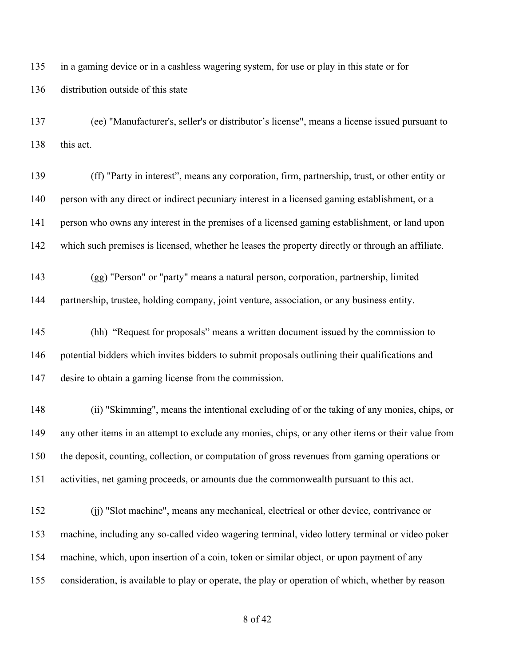in a gaming device or in a cashless wagering system, for use or play in this state or for

distribution outside of this state

 (ee) "Manufacturer's, seller's or distributor's license", means a license issued pursuant to this act.

 (ff) "Party in interest", means any corporation, firm, partnership, trust, or other entity or person with any direct or indirect pecuniary interest in a licensed gaming establishment, or a person who owns any interest in the premises of a licensed gaming establishment, or land upon which such premises is licensed, whether he leases the property directly or through an affiliate.

 (gg) "Person" or "party" means a natural person, corporation, partnership, limited partnership, trustee, holding company, joint venture, association, or any business entity.

 (hh) "Request for proposals" means a written document issued by the commission to potential bidders which invites bidders to submit proposals outlining their qualifications and desire to obtain a gaming license from the commission.

 (ii) "Skimming", means the intentional excluding of or the taking of any monies, chips, or any other items in an attempt to exclude any monies, chips, or any other items or their value from the deposit, counting, collection, or computation of gross revenues from gaming operations or activities, net gaming proceeds, or amounts due the commonwealth pursuant to this act.

 (jj) "Slot machine", means any mechanical, electrical or other device, contrivance or machine, including any so-called video wagering terminal, video lottery terminal or video poker machine, which, upon insertion of a coin, token or similar object, or upon payment of any consideration, is available to play or operate, the play or operation of which, whether by reason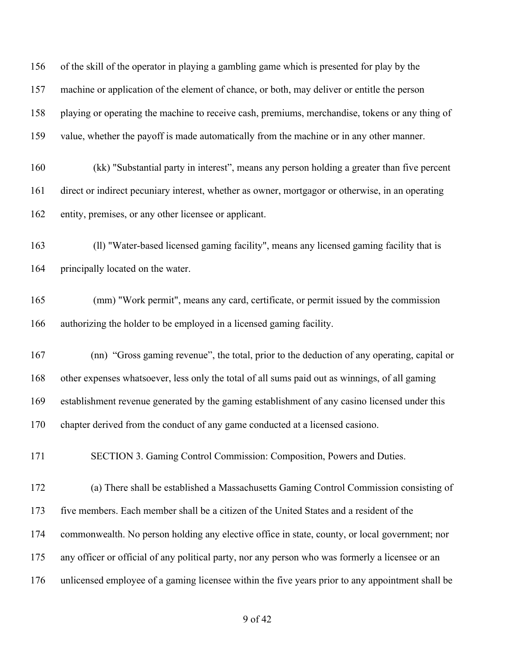of the skill of the operator in playing a gambling game which is presented for play by the machine or application of the element of chance, or both, may deliver or entitle the person playing or operating the machine to receive cash, premiums, merchandise, tokens or any thing of value, whether the payoff is made automatically from the machine or in any other manner.

- (kk) "Substantial party in interest", means any person holding a greater than five percent direct or indirect pecuniary interest, whether as owner, mortgagor or otherwise, in an operating entity, premises, or any other licensee or applicant.
- (ll) "Water-based licensed gaming facility", means any licensed gaming facility that is principally located on the water.
- (mm) "Work permit", means any card, certificate, or permit issued by the commission authorizing the holder to be employed in a licensed gaming facility.
- (nn) "Gross gaming revenue", the total, prior to the deduction of any operating, capital or other expenses whatsoever, less only the total of all sums paid out as winnings, of all gaming establishment revenue generated by the gaming establishment of any casino licensed under this chapter derived from the conduct of any game conducted at a licensed casiono.
- 171 SECTION 3. Gaming Control Commission: Composition, Powers and Duties.

 (a) There shall be established a Massachusetts Gaming Control Commission consisting of five members. Each member shall be a citizen of the United States and a resident of the commonwealth. No person holding any elective office in state, county, or local government; nor any officer or official of any political party, nor any person who was formerly a licensee or an unlicensed employee of a gaming licensee within the five years prior to any appointment shall be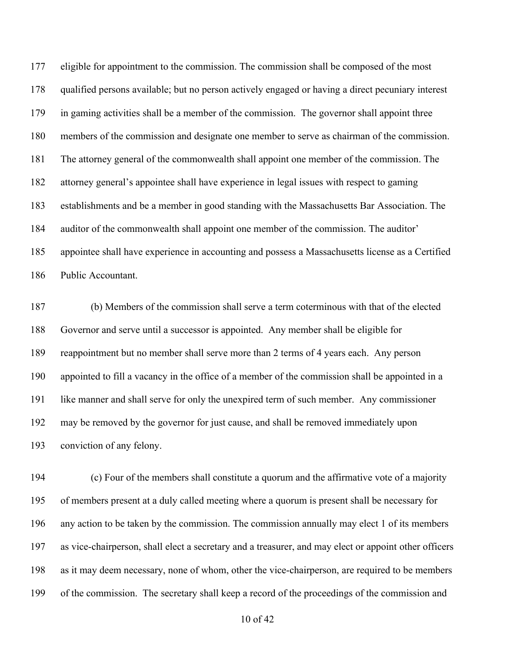eligible for appointment to the commission. The commission shall be composed of the most qualified persons available; but no person actively engaged or having a direct pecuniary interest in gaming activities shall be a member of the commission. The governor shall appoint three members of the commission and designate one member to serve as chairman of the commission. The attorney general of the commonwealth shall appoint one member of the commission. The attorney general's appointee shall have experience in legal issues with respect to gaming establishments and be a member in good standing with the Massachusetts Bar Association. The auditor of the commonwealth shall appoint one member of the commission. The auditor' appointee shall have experience in accounting and possess a Massachusetts license as a Certified Public Accountant.

 (b) Members of the commission shall serve a term coterminous with that of the elected Governor and serve until a successor is appointed. Any member shall be eligible for reappointment but no member shall serve more than 2 terms of 4 years each. Any person appointed to fill a vacancy in the office of a member of the commission shall be appointed in a like manner and shall serve for only the unexpired term of such member. Any commissioner may be removed by the governor for just cause, and shall be removed immediately upon conviction of any felony.

 (c) Four of the members shall constitute a quorum and the affirmative vote of a majority of members present at a duly called meeting where a quorum is present shall be necessary for any action to be taken by the commission. The commission annually may elect 1 of its members as vice-chairperson, shall elect a secretary and a treasurer, and may elect or appoint other officers as it may deem necessary, none of whom, other the vice-chairperson, are required to be members of the commission. The secretary shall keep a record of the proceedings of the commission and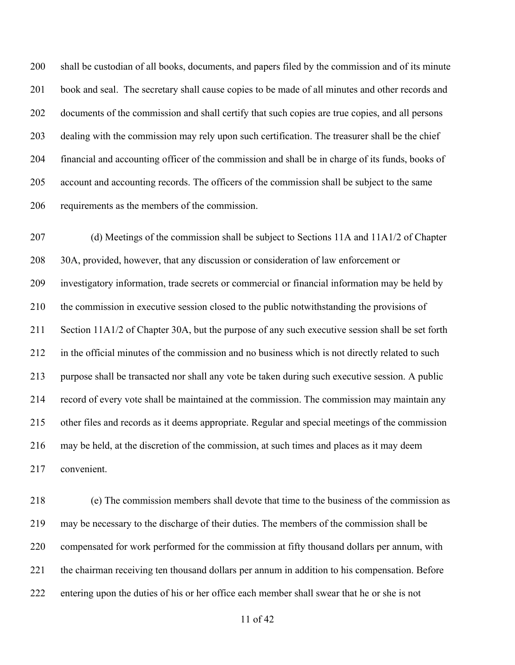shall be custodian of all books, documents, and papers filed by the commission and of its minute book and seal. The secretary shall cause copies to be made of all minutes and other records and 202 documents of the commission and shall certify that such copies are true copies, and all persons dealing with the commission may rely upon such certification. The treasurer shall be the chief financial and accounting officer of the commission and shall be in charge of its funds, books of account and accounting records. The officers of the commission shall be subject to the same requirements as the members of the commission.

 (d) Meetings of the commission shall be subject to Sections 11A and 11A1/2 of Chapter 30A, provided, however, that any discussion or consideration of law enforcement or investigatory information, trade secrets or commercial or financial information may be held by the commission in executive session closed to the public notwithstanding the provisions of Section 11A1/2 of Chapter 30A, but the purpose of any such executive session shall be set forth in the official minutes of the commission and no business which is not directly related to such purpose shall be transacted nor shall any vote be taken during such executive session. A public record of every vote shall be maintained at the commission. The commission may maintain any other files and records as it deems appropriate. Regular and special meetings of the commission may be held, at the discretion of the commission, at such times and places as it may deem convenient.

 (e) The commission members shall devote that time to the business of the commission as may be necessary to the discharge of their duties. The members of the commission shall be compensated for work performed for the commission at fifty thousand dollars per annum, with the chairman receiving ten thousand dollars per annum in addition to his compensation. Before entering upon the duties of his or her office each member shall swear that he or she is not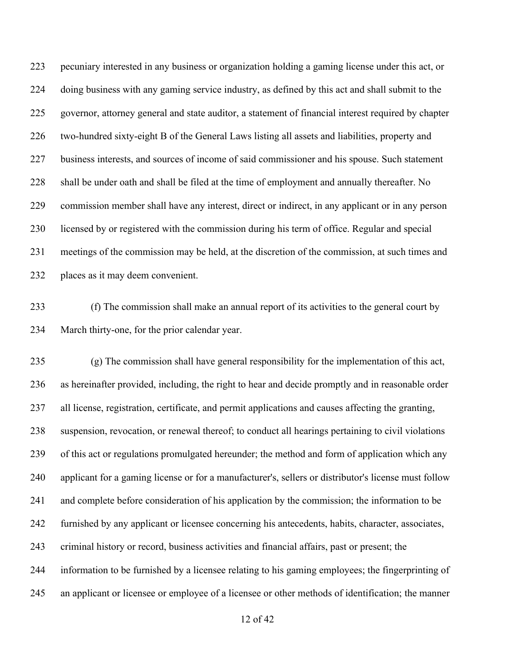pecuniary interested in any business or organization holding a gaming license under this act, or doing business with any gaming service industry, as defined by this act and shall submit to the governor, attorney general and state auditor, a statement of financial interest required by chapter two-hundred sixty-eight B of the General Laws listing all assets and liabilities, property and business interests, and sources of income of said commissioner and his spouse. Such statement shall be under oath and shall be filed at the time of employment and annually thereafter. No commission member shall have any interest, direct or indirect, in any applicant or in any person licensed by or registered with the commission during his term of office. Regular and special meetings of the commission may be held, at the discretion of the commission, at such times and places as it may deem convenient.

 (f) The commission shall make an annual report of its activities to the general court by March thirty-one, for the prior calendar year.

 (g) The commission shall have general responsibility for the implementation of this act, as hereinafter provided, including, the right to hear and decide promptly and in reasonable order all license, registration, certificate, and permit applications and causes affecting the granting, suspension, revocation, or renewal thereof; to conduct all hearings pertaining to civil violations of this act or regulations promulgated hereunder; the method and form of application which any applicant for a gaming license or for a manufacturer's, sellers or distributor's license must follow and complete before consideration of his application by the commission; the information to be furnished by any applicant or licensee concerning his antecedents, habits, character, associates, criminal history or record, business activities and financial affairs, past or present; the information to be furnished by a licensee relating to his gaming employees; the fingerprinting of an applicant or licensee or employee of a licensee or other methods of identification; the manner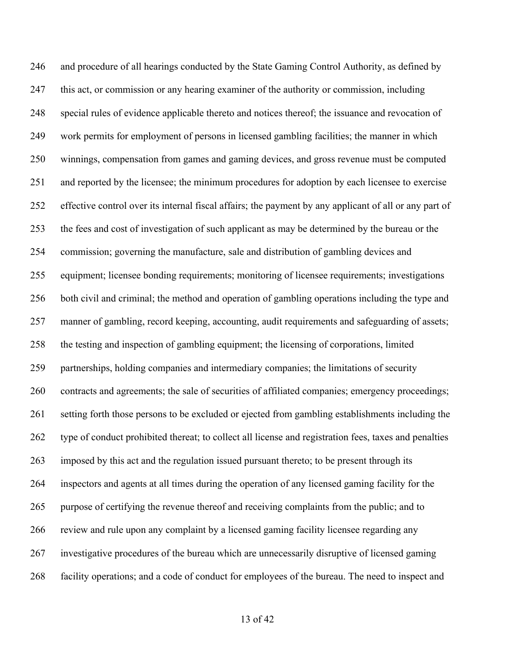and procedure of all hearings conducted by the State Gaming Control Authority, as defined by this act, or commission or any hearing examiner of the authority or commission, including special rules of evidence applicable thereto and notices thereof; the issuance and revocation of work permits for employment of persons in licensed gambling facilities; the manner in which winnings, compensation from games and gaming devices, and gross revenue must be computed and reported by the licensee; the minimum procedures for adoption by each licensee to exercise effective control over its internal fiscal affairs; the payment by any applicant of all or any part of the fees and cost of investigation of such applicant as may be determined by the bureau or the commission; governing the manufacture, sale and distribution of gambling devices and equipment; licensee bonding requirements; monitoring of licensee requirements; investigations both civil and criminal; the method and operation of gambling operations including the type and manner of gambling, record keeping, accounting, audit requirements and safeguarding of assets; the testing and inspection of gambling equipment; the licensing of corporations, limited partnerships, holding companies and intermediary companies; the limitations of security contracts and agreements; the sale of securities of affiliated companies; emergency proceedings; setting forth those persons to be excluded or ejected from gambling establishments including the type of conduct prohibited thereat; to collect all license and registration fees, taxes and penalties imposed by this act and the regulation issued pursuant thereto; to be present through its inspectors and agents at all times during the operation of any licensed gaming facility for the purpose of certifying the revenue thereof and receiving complaints from the public; and to review and rule upon any complaint by a licensed gaming facility licensee regarding any investigative procedures of the bureau which are unnecessarily disruptive of licensed gaming facility operations; and a code of conduct for employees of the bureau. The need to inspect and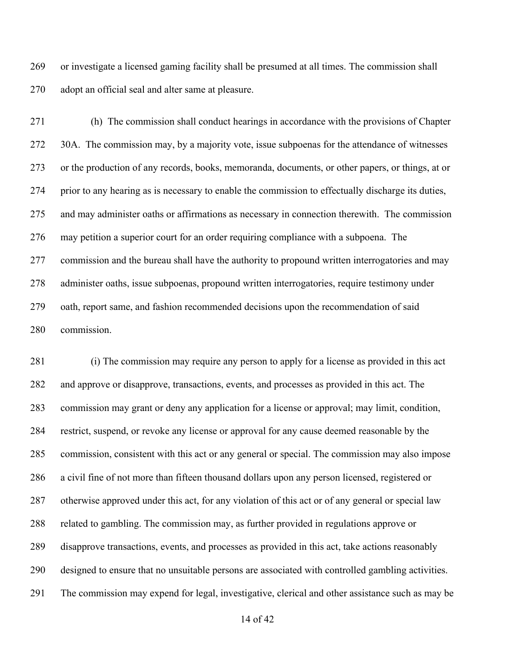or investigate a licensed gaming facility shall be presumed at all times. The commission shall adopt an official seal and alter same at pleasure.

 (h) The commission shall conduct hearings in accordance with the provisions of Chapter 30A. The commission may, by a majority vote, issue subpoenas for the attendance of witnesses or the production of any records, books, memoranda, documents, or other papers, or things, at or prior to any hearing as is necessary to enable the commission to effectually discharge its duties, and may administer oaths or affirmations as necessary in connection therewith. The commission may petition a superior court for an order requiring compliance with a subpoena. The commission and the bureau shall have the authority to propound written interrogatories and may administer oaths, issue subpoenas, propound written interrogatories, require testimony under oath, report same, and fashion recommended decisions upon the recommendation of said commission.

 (i) The commission may require any person to apply for a license as provided in this act and approve or disapprove, transactions, events, and processes as provided in this act. The commission may grant or deny any application for a license or approval; may limit, condition, restrict, suspend, or revoke any license or approval for any cause deemed reasonable by the commission, consistent with this act or any general or special. The commission may also impose a civil fine of not more than fifteen thousand dollars upon any person licensed, registered or otherwise approved under this act, for any violation of this act or of any general or special law related to gambling. The commission may, as further provided in regulations approve or disapprove transactions, events, and processes as provided in this act, take actions reasonably designed to ensure that no unsuitable persons are associated with controlled gambling activities. The commission may expend for legal, investigative, clerical and other assistance such as may be

of 42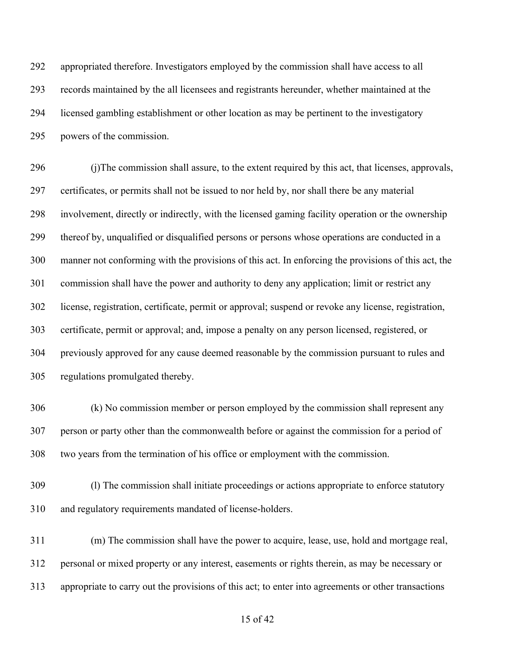appropriated therefore. Investigators employed by the commission shall have access to all records maintained by the all licensees and registrants hereunder, whether maintained at the licensed gambling establishment or other location as may be pertinent to the investigatory powers of the commission.

 (j)The commission shall assure, to the extent required by this act, that licenses, approvals, certificates, or permits shall not be issued to nor held by, nor shall there be any material involvement, directly or indirectly, with the licensed gaming facility operation or the ownership thereof by, unqualified or disqualified persons or persons whose operations are conducted in a manner not conforming with the provisions of this act. In enforcing the provisions of this act, the commission shall have the power and authority to deny any application; limit or restrict any license, registration, certificate, permit or approval; suspend or revoke any license, registration, certificate, permit or approval; and, impose a penalty on any person licensed, registered, or previously approved for any cause deemed reasonable by the commission pursuant to rules and regulations promulgated thereby.

- (k) No commission member or person employed by the commission shall represent any person or party other than the commonwealth before or against the commission for a period of two years from the termination of his office or employment with the commission.
- (l) The commission shall initiate proceedings or actions appropriate to enforce statutory and regulatory requirements mandated of license-holders.

 (m) The commission shall have the power to acquire, lease, use, hold and mortgage real, personal or mixed property or any interest, easements or rights therein, as may be necessary or appropriate to carry out the provisions of this act; to enter into agreements or other transactions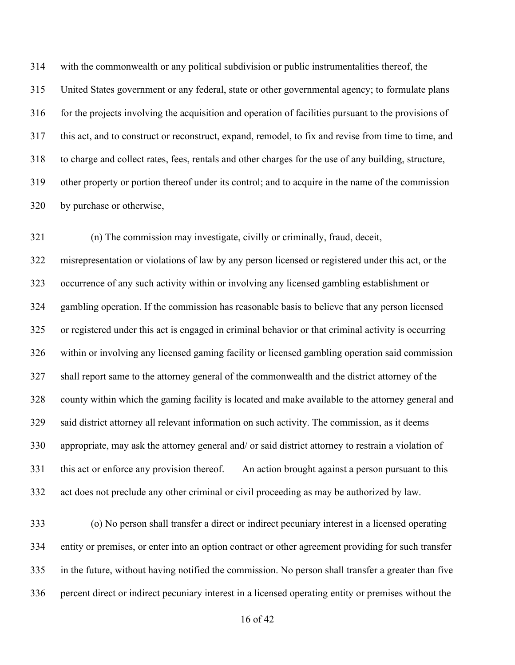with the commonwealth or any political subdivision or public instrumentalities thereof, the United States government or any federal, state or other governmental agency; to formulate plans for the projects involving the acquisition and operation of facilities pursuant to the provisions of this act, and to construct or reconstruct, expand, remodel, to fix and revise from time to time, and to charge and collect rates, fees, rentals and other charges for the use of any building, structure, other property or portion thereof under its control; and to acquire in the name of the commission by purchase or otherwise,

 (n) The commission may investigate, civilly or criminally, fraud, deceit, misrepresentation or violations of law by any person licensed or registered under this act, or the occurrence of any such activity within or involving any licensed gambling establishment or gambling operation. If the commission has reasonable basis to believe that any person licensed or registered under this act is engaged in criminal behavior or that criminal activity is occurring within or involving any licensed gaming facility or licensed gambling operation said commission shall report same to the attorney general of the commonwealth and the district attorney of the county within which the gaming facility is located and make available to the attorney general and said district attorney all relevant information on such activity. The commission, as it deems appropriate, may ask the attorney general and/ or said district attorney to restrain a violation of this act or enforce any provision thereof. An action brought against a person pursuant to this act does not preclude any other criminal or civil proceeding as may be authorized by law.

 (o) No person shall transfer a direct or indirect pecuniary interest in a licensed operating entity or premises, or enter into an option contract or other agreement providing for such transfer in the future, without having notified the commission. No person shall transfer a greater than five percent direct or indirect pecuniary interest in a licensed operating entity or premises without the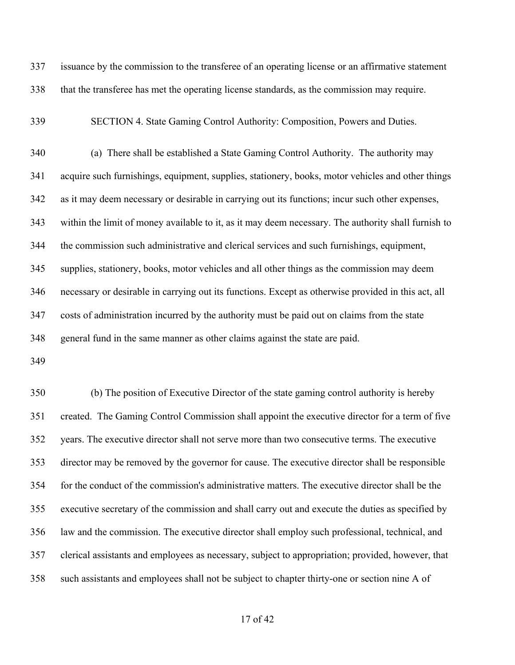issuance by the commission to the transferee of an operating license or an affirmative statement that the transferee has met the operating license standards, as the commission may require.

SECTION 4. State Gaming Control Authority: Composition, Powers and Duties.

 (a) There shall be established a State Gaming Control Authority. The authority may acquire such furnishings, equipment, supplies, stationery, books, motor vehicles and other things as it may deem necessary or desirable in carrying out its functions; incur such other expenses, within the limit of money available to it, as it may deem necessary. The authority shall furnish to the commission such administrative and clerical services and such furnishings, equipment, supplies, stationery, books, motor vehicles and all other things as the commission may deem necessary or desirable in carrying out its functions. Except as otherwise provided in this act, all costs of administration incurred by the authority must be paid out on claims from the state general fund in the same manner as other claims against the state are paid.

 (b) The position of Executive Director of the state gaming control authority is hereby created. The Gaming Control Commission shall appoint the executive director for a term of five years. The executive director shall not serve more than two consecutive terms. The executive director may be removed by the governor for cause. The executive director shall be responsible for the conduct of the commission's administrative matters. The executive director shall be the executive secretary of the commission and shall carry out and execute the duties as specified by law and the commission. The executive director shall employ such professional, technical, and clerical assistants and employees as necessary, subject to appropriation; provided, however, that such assistants and employees shall not be subject to chapter thirty-one or section nine A of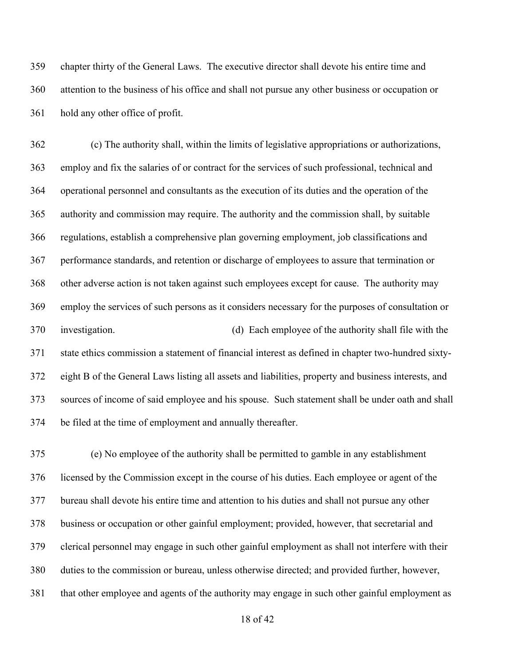chapter thirty of the General Laws. The executive director shall devote his entire time and attention to the business of his office and shall not pursue any other business or occupation or hold any other office of profit.

 (c) The authority shall, within the limits of legislative appropriations or authorizations, employ and fix the salaries of or contract for the services of such professional, technical and operational personnel and consultants as the execution of its duties and the operation of the authority and commission may require. The authority and the commission shall, by suitable regulations, establish a comprehensive plan governing employment, job classifications and performance standards, and retention or discharge of employees to assure that termination or other adverse action is not taken against such employees except for cause. The authority may employ the services of such persons as it considers necessary for the purposes of consultation or investigation. (d) Each employee of the authority shall file with the state ethics commission a statement of financial interest as defined in chapter two-hundred sixty- eight B of the General Laws listing all assets and liabilities, property and business interests, and sources of income of said employee and his spouse. Such statement shall be under oath and shall be filed at the time of employment and annually thereafter.

 (e) No employee of the authority shall be permitted to gamble in any establishment licensed by the Commission except in the course of his duties. Each employee or agent of the bureau shall devote his entire time and attention to his duties and shall not pursue any other business or occupation or other gainful employment; provided, however, that secretarial and clerical personnel may engage in such other gainful employment as shall not interfere with their duties to the commission or bureau, unless otherwise directed; and provided further, however, that other employee and agents of the authority may engage in such other gainful employment as

of 42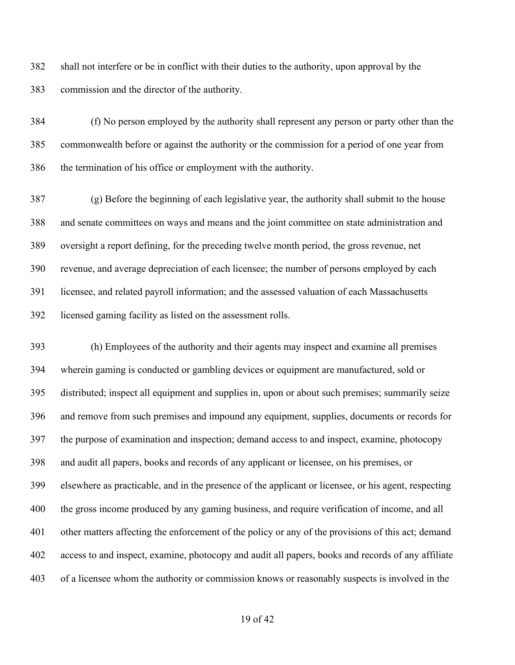shall not interfere or be in conflict with their duties to the authority, upon approval by the commission and the director of the authority.

 (f) No person employed by the authority shall represent any person or party other than the commonwealth before or against the authority or the commission for a period of one year from the termination of his office or employment with the authority.

 (g) Before the beginning of each legislative year, the authority shall submit to the house and senate committees on ways and means and the joint committee on state administration and oversight a report defining, for the preceding twelve month period, the gross revenue, net revenue, and average depreciation of each licensee; the number of persons employed by each licensee, and related payroll information; and the assessed valuation of each Massachusetts licensed gaming facility as listed on the assessment rolls.

 (h) Employees of the authority and their agents may inspect and examine all premises wherein gaming is conducted or gambling devices or equipment are manufactured, sold or distributed; inspect all equipment and supplies in, upon or about such premises; summarily seize and remove from such premises and impound any equipment, supplies, documents or records for the purpose of examination and inspection; demand access to and inspect, examine, photocopy and audit all papers, books and records of any applicant or licensee, on his premises, or elsewhere as practicable, and in the presence of the applicant or licensee, or his agent, respecting the gross income produced by any gaming business, and require verification of income, and all other matters affecting the enforcement of the policy or any of the provisions of this act; demand access to and inspect, examine, photocopy and audit all papers, books and records of any affiliate of a licensee whom the authority or commission knows or reasonably suspects is involved in the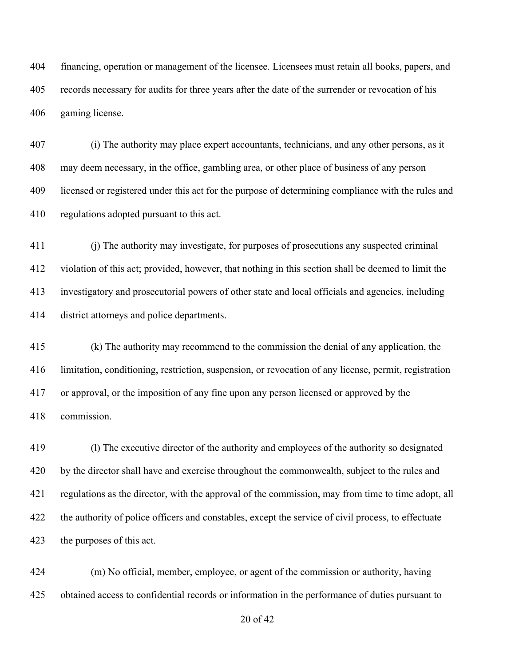financing, operation or management of the licensee. Licensees must retain all books, papers, and records necessary for audits for three years after the date of the surrender or revocation of his gaming license.

 (i) The authority may place expert accountants, technicians, and any other persons, as it may deem necessary, in the office, gambling area, or other place of business of any person licensed or registered under this act for the purpose of determining compliance with the rules and regulations adopted pursuant to this act.

 (j) The authority may investigate, for purposes of prosecutions any suspected criminal violation of this act; provided, however, that nothing in this section shall be deemed to limit the investigatory and prosecutorial powers of other state and local officials and agencies, including district attorneys and police departments.

 (k) The authority may recommend to the commission the denial of any application, the limitation, conditioning, restriction, suspension, or revocation of any license, permit, registration or approval, or the imposition of any fine upon any person licensed or approved by the commission.

 (l) The executive director of the authority and employees of the authority so designated by the director shall have and exercise throughout the commonwealth, subject to the rules and regulations as the director, with the approval of the commission, may from time to time adopt, all the authority of police officers and constables, except the service of civil process, to effectuate the purposes of this act.

 (m) No official, member, employee, or agent of the commission or authority, having obtained access to confidential records or information in the performance of duties pursuant to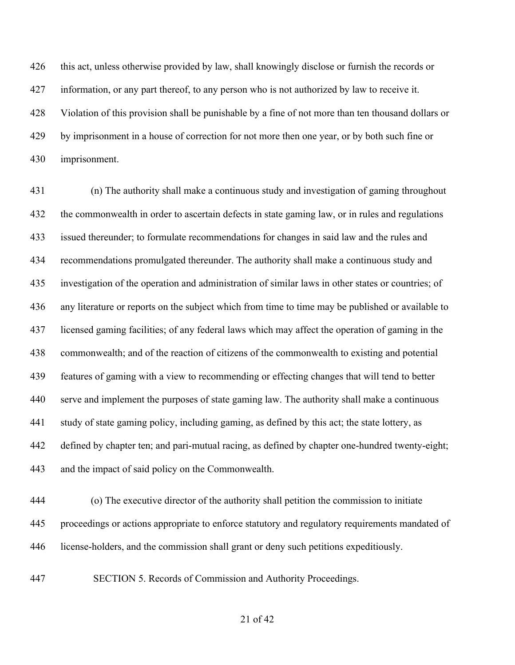this act, unless otherwise provided by law, shall knowingly disclose or furnish the records or information, or any part thereof, to any person who is not authorized by law to receive it. Violation of this provision shall be punishable by a fine of not more than ten thousand dollars or by imprisonment in a house of correction for not more then one year, or by both such fine or imprisonment.

 (n) The authority shall make a continuous study and investigation of gaming throughout the commonwealth in order to ascertain defects in state gaming law, or in rules and regulations issued thereunder; to formulate recommendations for changes in said law and the rules and recommendations promulgated thereunder. The authority shall make a continuous study and investigation of the operation and administration of similar laws in other states or countries; of any literature or reports on the subject which from time to time may be published or available to licensed gaming facilities; of any federal laws which may affect the operation of gaming in the commonwealth; and of the reaction of citizens of the commonwealth to existing and potential features of gaming with a view to recommending or effecting changes that will tend to better serve and implement the purposes of state gaming law. The authority shall make a continuous study of state gaming policy, including gaming, as defined by this act; the state lottery, as defined by chapter ten; and pari-mutual racing, as defined by chapter one-hundred twenty-eight; and the impact of said policy on the Commonwealth.

- (o) The executive director of the authority shall petition the commission to initiate proceedings or actions appropriate to enforce statutory and regulatory requirements mandated of license-holders, and the commission shall grant or deny such petitions expeditiously.
- SECTION 5. Records of Commission and Authority Proceedings.

### of 42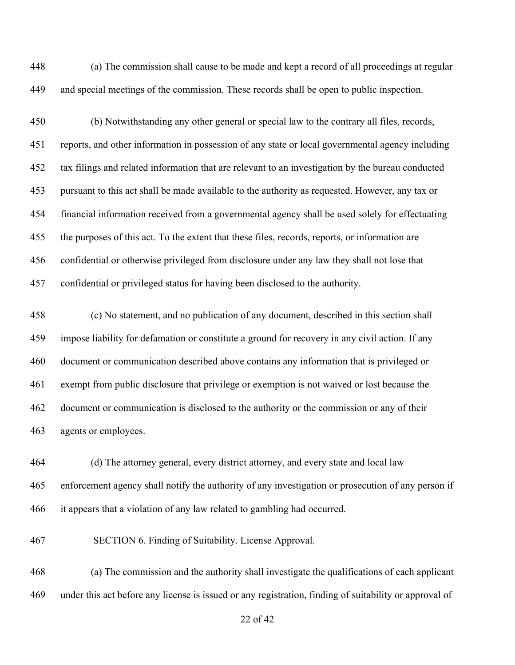(a) The commission shall cause to be made and kept a record of all proceedings at regular and special meetings of the commission. These records shall be open to public inspection.

 (b) Notwithstanding any other general or special law to the contrary all files, records, reports, and other information in possession of any state or local governmental agency including tax filings and related information that are relevant to an investigation by the bureau conducted pursuant to this act shall be made available to the authority as requested. However, any tax or financial information received from a governmental agency shall be used solely for effectuating the purposes of this act. To the extent that these files, records, reports, or information are confidential or otherwise privileged from disclosure under any law they shall not lose that confidential or privileged status for having been disclosed to the authority.

 (c) No statement, and no publication of any document, described in this section shall impose liability for defamation or constitute a ground for recovery in any civil action. If any document or communication described above contains any information that is privileged or exempt from public disclosure that privilege or exemption is not waived or lost because the document or communication is disclosed to the authority or the commission or any of their agents or employees.

 (d) The attorney general, every district attorney, and every state and local law enforcement agency shall notify the authority of any investigation or prosecution of any person if it appears that a violation of any law related to gambling had occurred.

SECTION 6. Finding of Suitability. License Approval.

 (a) The commission and the authority shall investigate the qualifications of each applicant under this act before any license is issued or any registration, finding of suitability or approval of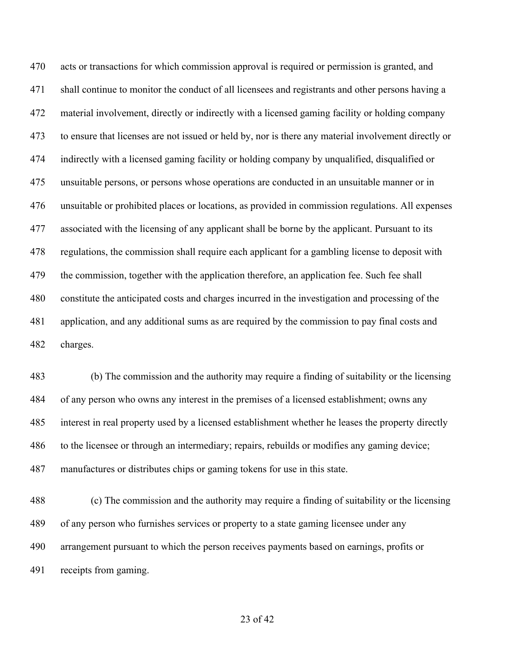acts or transactions for which commission approval is required or permission is granted, and shall continue to monitor the conduct of all licensees and registrants and other persons having a material involvement, directly or indirectly with a licensed gaming facility or holding company to ensure that licenses are not issued or held by, nor is there any material involvement directly or indirectly with a licensed gaming facility or holding company by unqualified, disqualified or unsuitable persons, or persons whose operations are conducted in an unsuitable manner or in unsuitable or prohibited places or locations, as provided in commission regulations. All expenses associated with the licensing of any applicant shall be borne by the applicant. Pursuant to its regulations, the commission shall require each applicant for a gambling license to deposit with 479 the commission, together with the application therefore, an application fee. Such fee shall constitute the anticipated costs and charges incurred in the investigation and processing of the application, and any additional sums as are required by the commission to pay final costs and charges.

 (b) The commission and the authority may require a finding of suitability or the licensing of any person who owns any interest in the premises of a licensed establishment; owns any interest in real property used by a licensed establishment whether he leases the property directly to the licensee or through an intermediary; repairs, rebuilds or modifies any gaming device; manufactures or distributes chips or gaming tokens for use in this state.

 (c) The commission and the authority may require a finding of suitability or the licensing of any person who furnishes services or property to a state gaming licensee under any arrangement pursuant to which the person receives payments based on earnings, profits or receipts from gaming.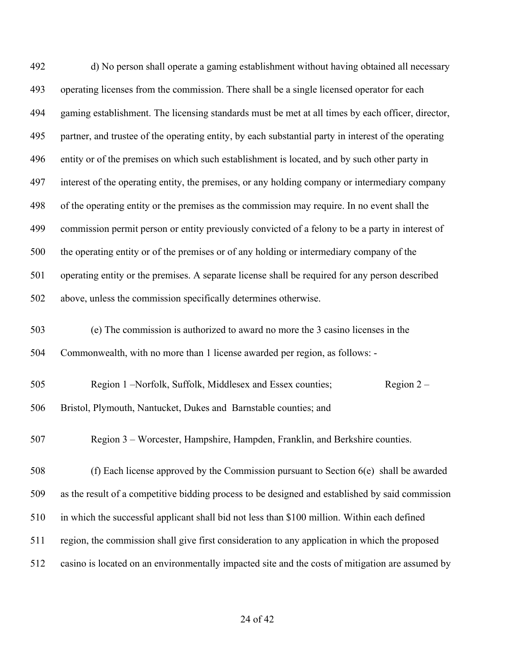| 492 | d) No person shall operate a gaming establishment without having obtained all necessary              |
|-----|------------------------------------------------------------------------------------------------------|
| 493 | operating licenses from the commission. There shall be a single licensed operator for each           |
| 494 | gaming establishment. The licensing standards must be met at all times by each officer, director,    |
| 495 | partner, and trustee of the operating entity, by each substantial party in interest of the operating |
| 496 | entity or of the premises on which such establishment is located, and by such other party in         |
| 497 | interest of the operating entity, the premises, or any holding company or intermediary company       |
| 498 | of the operating entity or the premises as the commission may require. In no event shall the         |
| 499 | commission permit person or entity previously convicted of a felony to be a party in interest of     |
| 500 | the operating entity or of the premises or of any holding or intermediary company of the             |
| 501 | operating entity or the premises. A separate license shall be required for any person described      |
| 502 | above, unless the commission specifically determines otherwise.                                      |
| 503 | (e) The commission is authorized to award no more the 3 casino licenses in the                       |
| 504 | Commonwealth, with no more than 1 license awarded per region, as follows: -                          |
| 505 | Region 1-Norfolk, Suffolk, Middlesex and Essex counties;<br>Region $2-$                              |
| 506 | Bristol, Plymouth, Nantucket, Dukes and Barnstable counties; and                                     |
| 507 | Region 3 – Worcester, Hampshire, Hampden, Franklin, and Berkshire counties.                          |
| 508 | (f) Each license approved by the Commission pursuant to Section $6(e)$ shall be awarded              |
| 509 | as the result of a competitive bidding process to be designed and established by said commission     |
| 510 | in which the successful applicant shall bid not less than \$100 million. Within each defined         |
| 511 | region, the commission shall give first consideration to any application in which the proposed       |
| 512 | casino is located on an environmentally impacted site and the costs of mitigation are assumed by     |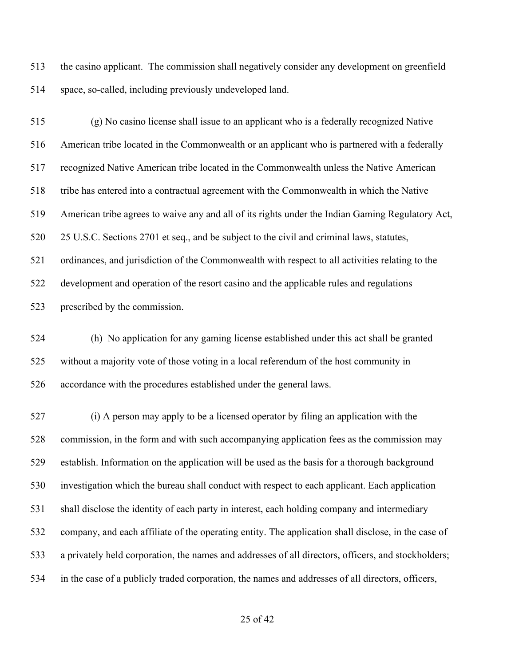the casino applicant. The commission shall negatively consider any development on greenfield space, so-called, including previously undeveloped land.

 (g) No casino license shall issue to an applicant who is a federally recognized Native American tribe located in the Commonwealth or an applicant who is partnered with a federally recognized Native American tribe located in the Commonwealth unless the Native American tribe has entered into a contractual agreement with the Commonwealth in which the Native American tribe agrees to waive any and all of its rights under the Indian Gaming Regulatory Act, 25 U.S.C. Sections 2701 et seq., and be subject to the civil and criminal laws, statutes, ordinances, and jurisdiction of the Commonwealth with respect to all activities relating to the development and operation of the resort casino and the applicable rules and regulations prescribed by the commission.

 (h) No application for any gaming license established under this act shall be granted without a majority vote of those voting in a local referendum of the host community in accordance with the procedures established under the general laws.

 (i) A person may apply to be a licensed operator by filing an application with the commission, in the form and with such accompanying application fees as the commission may establish. Information on the application will be used as the basis for a thorough background investigation which the bureau shall conduct with respect to each applicant. Each application shall disclose the identity of each party in interest, each holding company and intermediary company, and each affiliate of the operating entity. The application shall disclose, in the case of a privately held corporation, the names and addresses of all directors, officers, and stockholders; in the case of a publicly traded corporation, the names and addresses of all directors, officers,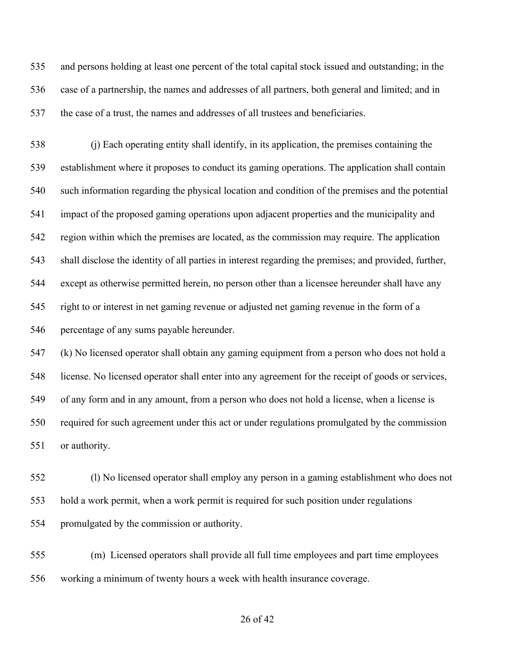and persons holding at least one percent of the total capital stock issued and outstanding; in the case of a partnership, the names and addresses of all partners, both general and limited; and in the case of a trust, the names and addresses of all trustees and beneficiaries.

 (j) Each operating entity shall identify, in its application, the premises containing the establishment where it proposes to conduct its gaming operations. The application shall contain such information regarding the physical location and condition of the premises and the potential impact of the proposed gaming operations upon adjacent properties and the municipality and region within which the premises are located, as the commission may require. The application shall disclose the identity of all parties in interest regarding the premises; and provided, further, except as otherwise permitted herein, no person other than a licensee hereunder shall have any right to or interest in net gaming revenue or adjusted net gaming revenue in the form of a percentage of any sums payable hereunder.

 (k) No licensed operator shall obtain any gaming equipment from a person who does not hold a license. No licensed operator shall enter into any agreement for the receipt of goods or services, of any form and in any amount, from a person who does not hold a license, when a license is required for such agreement under this act or under regulations promulgated by the commission or authority.

 (l) No licensed operator shall employ any person in a gaming establishment who does not hold a work permit, when a work permit is required for such position under regulations promulgated by the commission or authority.

 (m) Licensed operators shall provide all full time employees and part time employees working a minimum of twenty hours a week with health insurance coverage.

### of 42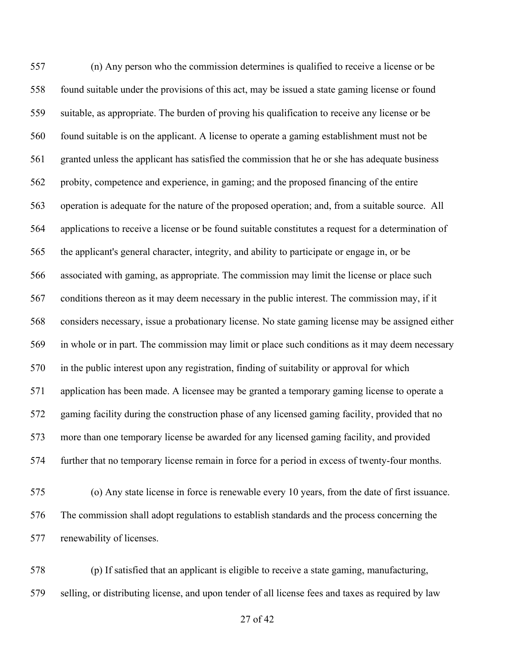(n) Any person who the commission determines is qualified to receive a license or be found suitable under the provisions of this act, may be issued a state gaming license or found suitable, as appropriate. The burden of proving his qualification to receive any license or be found suitable is on the applicant. A license to operate a gaming establishment must not be granted unless the applicant has satisfied the commission that he or she has adequate business probity, competence and experience, in gaming; and the proposed financing of the entire operation is adequate for the nature of the proposed operation; and, from a suitable source. All applications to receive a license or be found suitable constitutes a request for a determination of the applicant's general character, integrity, and ability to participate or engage in, or be associated with gaming, as appropriate. The commission may limit the license or place such conditions thereon as it may deem necessary in the public interest. The commission may, if it considers necessary, issue a probationary license. No state gaming license may be assigned either in whole or in part. The commission may limit or place such conditions as it may deem necessary in the public interest upon any registration, finding of suitability or approval for which application has been made. A licensee may be granted a temporary gaming license to operate a gaming facility during the construction phase of any licensed gaming facility, provided that no more than one temporary license be awarded for any licensed gaming facility, and provided further that no temporary license remain in force for a period in excess of twenty-four months.

 (o) Any state license in force is renewable every 10 years, from the date of first issuance. The commission shall adopt regulations to establish standards and the process concerning the renewability of licenses.

 (p) If satisfied that an applicant is eligible to receive a state gaming, manufacturing, selling, or distributing license, and upon tender of all license fees and taxes as required by law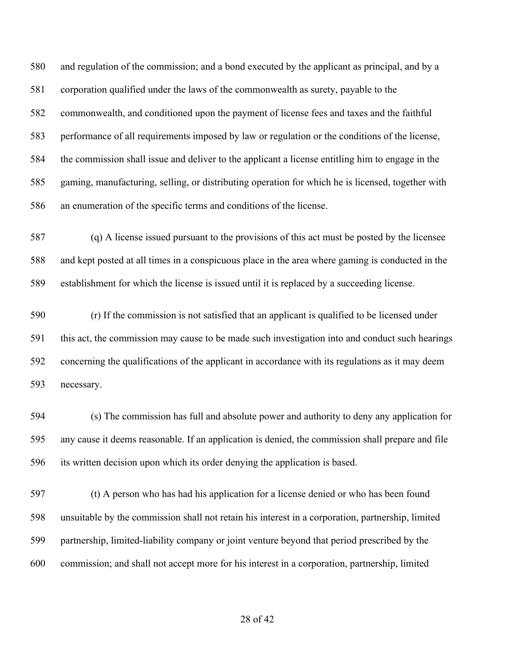and regulation of the commission; and a bond executed by the applicant as principal, and by a corporation qualified under the laws of the commonwealth as surety, payable to the commonwealth, and conditioned upon the payment of license fees and taxes and the faithful performance of all requirements imposed by law or regulation or the conditions of the license, the commission shall issue and deliver to the applicant a license entitling him to engage in the gaming, manufacturing, selling, or distributing operation for which he is licensed, together with an enumeration of the specific terms and conditions of the license.

 (q) A license issued pursuant to the provisions of this act must be posted by the licensee and kept posted at all times in a conspicuous place in the area where gaming is conducted in the establishment for which the license is issued until it is replaced by a succeeding license.

 (r) If the commission is not satisfied that an applicant is qualified to be licensed under this act, the commission may cause to be made such investigation into and conduct such hearings concerning the qualifications of the applicant in accordance with its regulations as it may deem necessary.

 (s) The commission has full and absolute power and authority to deny any application for any cause it deems reasonable. If an application is denied, the commission shall prepare and file its written decision upon which its order denying the application is based.

 (t) A person who has had his application for a license denied or who has been found unsuitable by the commission shall not retain his interest in a corporation, partnership, limited partnership, limited-liability company or joint venture beyond that period prescribed by the commission; and shall not accept more for his interest in a corporation, partnership, limited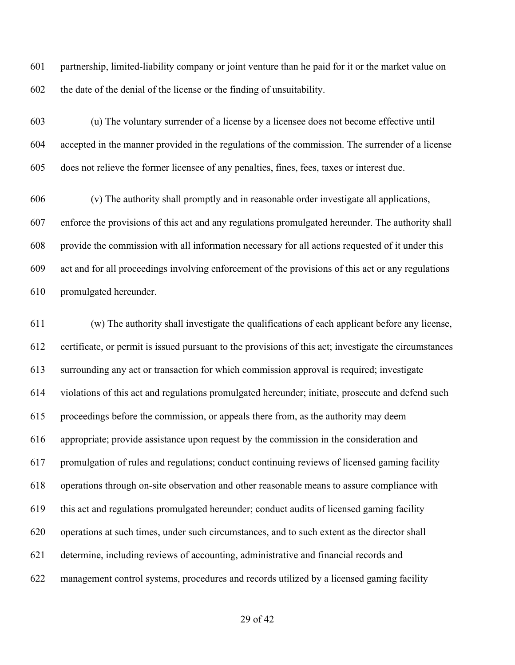partnership, limited-liability company or joint venture than he paid for it or the market value on the date of the denial of the license or the finding of unsuitability.

 (u) The voluntary surrender of a license by a licensee does not become effective until accepted in the manner provided in the regulations of the commission. The surrender of a license does not relieve the former licensee of any penalties, fines, fees, taxes or interest due.

 (v) The authority shall promptly and in reasonable order investigate all applications, enforce the provisions of this act and any regulations promulgated hereunder. The authority shall provide the commission with all information necessary for all actions requested of it under this act and for all proceedings involving enforcement of the provisions of this act or any regulations promulgated hereunder.

 (w) The authority shall investigate the qualifications of each applicant before any license, certificate, or permit is issued pursuant to the provisions of this act; investigate the circumstances surrounding any act or transaction for which commission approval is required; investigate violations of this act and regulations promulgated hereunder; initiate, prosecute and defend such proceedings before the commission, or appeals there from, as the authority may deem appropriate; provide assistance upon request by the commission in the consideration and promulgation of rules and regulations; conduct continuing reviews of licensed gaming facility operations through on-site observation and other reasonable means to assure compliance with this act and regulations promulgated hereunder; conduct audits of licensed gaming facility operations at such times, under such circumstances, and to such extent as the director shall determine, including reviews of accounting, administrative and financial records and management control systems, procedures and records utilized by a licensed gaming facility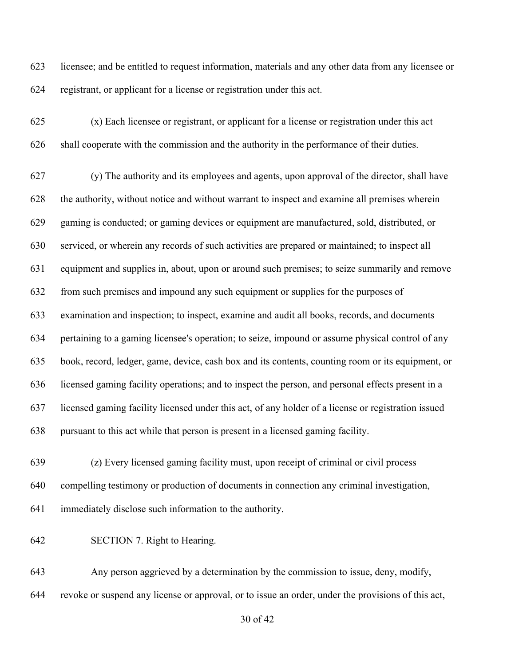licensee; and be entitled to request information, materials and any other data from any licensee or registrant, or applicant for a license or registration under this act.

 (x) Each licensee or registrant, or applicant for a license or registration under this act shall cooperate with the commission and the authority in the performance of their duties.

 (y) The authority and its employees and agents, upon approval of the director, shall have the authority, without notice and without warrant to inspect and examine all premises wherein gaming is conducted; or gaming devices or equipment are manufactured, sold, distributed, or serviced, or wherein any records of such activities are prepared or maintained; to inspect all equipment and supplies in, about, upon or around such premises; to seize summarily and remove from such premises and impound any such equipment or supplies for the purposes of examination and inspection; to inspect, examine and audit all books, records, and documents pertaining to a gaming licensee's operation; to seize, impound or assume physical control of any book, record, ledger, game, device, cash box and its contents, counting room or its equipment, or licensed gaming facility operations; and to inspect the person, and personal effects present in a licensed gaming facility licensed under this act, of any holder of a license or registration issued pursuant to this act while that person is present in a licensed gaming facility.

 (z) Every licensed gaming facility must, upon receipt of criminal or civil process compelling testimony or production of documents in connection any criminal investigation, immediately disclose such information to the authority.

SECTION 7. Right to Hearing.

 Any person aggrieved by a determination by the commission to issue, deny, modify, revoke or suspend any license or approval, or to issue an order, under the provisions of this act,

of 42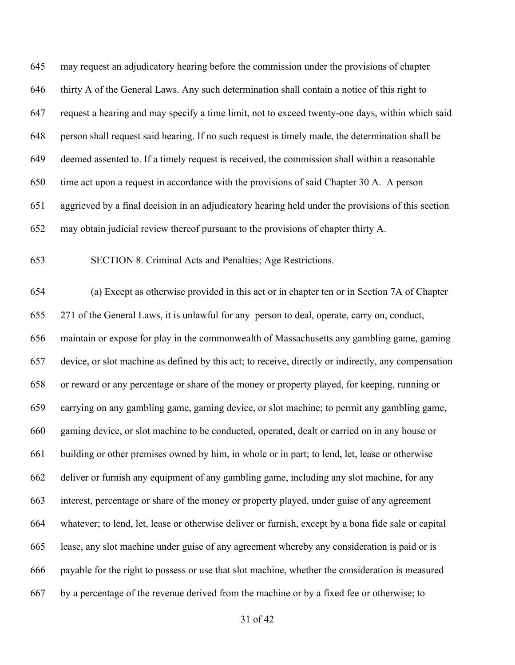may request an adjudicatory hearing before the commission under the provisions of chapter thirty A of the General Laws. Any such determination shall contain a notice of this right to request a hearing and may specify a time limit, not to exceed twenty-one days, within which said person shall request said hearing. If no such request is timely made, the determination shall be deemed assented to. If a timely request is received, the commission shall within a reasonable time act upon a request in accordance with the provisions of said Chapter 30 A. A person aggrieved by a final decision in an adjudicatory hearing held under the provisions of this section may obtain judicial review thereof pursuant to the provisions of chapter thirty A.

SECTION 8. Criminal Acts and Penalties; Age Restrictions.

 (a) Except as otherwise provided in this act or in chapter ten or in Section 7A of Chapter 271 of the General Laws, it is unlawful for any person to deal, operate, carry on, conduct, maintain or expose for play in the commonwealth of Massachusetts any gambling game, gaming device, or slot machine as defined by this act; to receive, directly or indirectly, any compensation or reward or any percentage or share of the money or property played, for keeping, running or carrying on any gambling game, gaming device, or slot machine; to permit any gambling game, gaming device, or slot machine to be conducted, operated, dealt or carried on in any house or building or other premises owned by him, in whole or in part; to lend, let, lease or otherwise deliver or furnish any equipment of any gambling game, including any slot machine, for any interest, percentage or share of the money or property played, under guise of any agreement whatever; to lend, let, lease or otherwise deliver or furnish, except by a bona fide sale or capital lease, any slot machine under guise of any agreement whereby any consideration is paid or is payable for the right to possess or use that slot machine, whether the consideration is measured by a percentage of the revenue derived from the machine or by a fixed fee or otherwise; to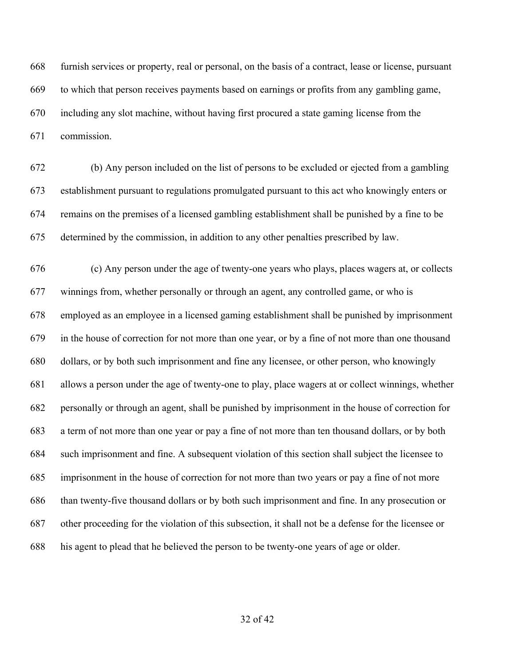furnish services or property, real or personal, on the basis of a contract, lease or license, pursuant to which that person receives payments based on earnings or profits from any gambling game, including any slot machine, without having first procured a state gaming license from the commission.

 (b) Any person included on the list of persons to be excluded or ejected from a gambling establishment pursuant to regulations promulgated pursuant to this act who knowingly enters or remains on the premises of a licensed gambling establishment shall be punished by a fine to be determined by the commission, in addition to any other penalties prescribed by law.

 (c) Any person under the age of twenty-one years who plays, places wagers at, or collects winnings from, whether personally or through an agent, any controlled game, or who is employed as an employee in a licensed gaming establishment shall be punished by imprisonment in the house of correction for not more than one year, or by a fine of not more than one thousand dollars, or by both such imprisonment and fine any licensee, or other person, who knowingly allows a person under the age of twenty-one to play, place wagers at or collect winnings, whether personally or through an agent, shall be punished by imprisonment in the house of correction for a term of not more than one year or pay a fine of not more than ten thousand dollars, or by both such imprisonment and fine. A subsequent violation of this section shall subject the licensee to imprisonment in the house of correction for not more than two years or pay a fine of not more than twenty-five thousand dollars or by both such imprisonment and fine. In any prosecution or other proceeding for the violation of this subsection, it shall not be a defense for the licensee or his agent to plead that he believed the person to be twenty-one years of age or older.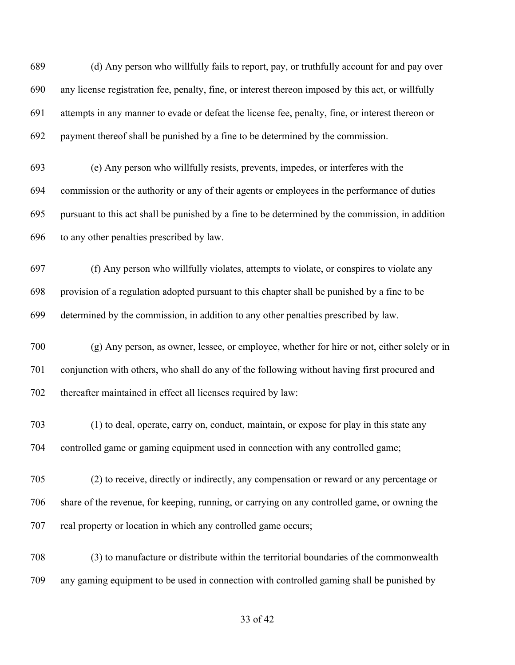(d) Any person who willfully fails to report, pay, or truthfully account for and pay over any license registration fee, penalty, fine, or interest thereon imposed by this act, or willfully attempts in any manner to evade or defeat the license fee, penalty, fine, or interest thereon or payment thereof shall be punished by a fine to be determined by the commission.

 (e) Any person who willfully resists, prevents, impedes, or interferes with the commission or the authority or any of their agents or employees in the performance of duties pursuant to this act shall be punished by a fine to be determined by the commission, in addition to any other penalties prescribed by law.

 (f) Any person who willfully violates, attempts to violate, or conspires to violate any provision of a regulation adopted pursuant to this chapter shall be punished by a fine to be determined by the commission, in addition to any other penalties prescribed by law.

 (g) Any person, as owner, lessee, or employee, whether for hire or not, either solely or in conjunction with others, who shall do any of the following without having first procured and thereafter maintained in effect all licenses required by law:

 (1) to deal, operate, carry on, conduct, maintain, or expose for play in this state any controlled game or gaming equipment used in connection with any controlled game;

 (2) to receive, directly or indirectly, any compensation or reward or any percentage or share of the revenue, for keeping, running, or carrying on any controlled game, or owning the real property or location in which any controlled game occurs;

 (3) to manufacture or distribute within the territorial boundaries of the commonwealth any gaming equipment to be used in connection with controlled gaming shall be punished by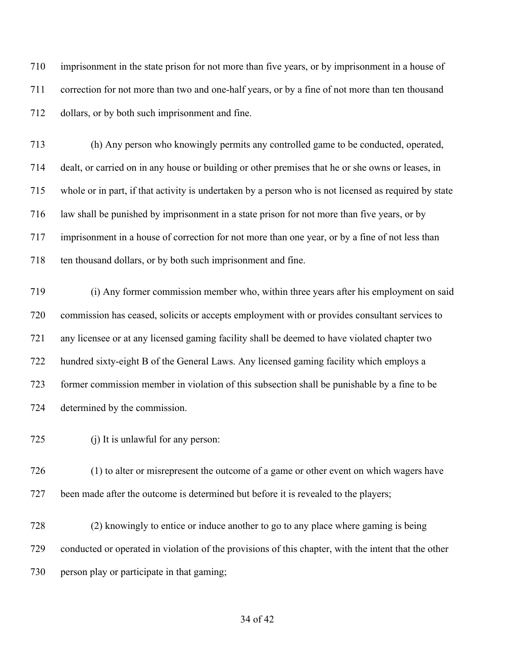imprisonment in the state prison for not more than five years, or by imprisonment in a house of correction for not more than two and one-half years, or by a fine of not more than ten thousand dollars, or by both such imprisonment and fine.

 (h) Any person who knowingly permits any controlled game to be conducted, operated, dealt, or carried on in any house or building or other premises that he or she owns or leases, in whole or in part, if that activity is undertaken by a person who is not licensed as required by state law shall be punished by imprisonment in a state prison for not more than five years, or by imprisonment in a house of correction for not more than one year, or by a fine of not less than ten thousand dollars, or by both such imprisonment and fine.

 (i) Any former commission member who, within three years after his employment on said commission has ceased, solicits or accepts employment with or provides consultant services to any licensee or at any licensed gaming facility shall be deemed to have violated chapter two hundred sixty-eight B of the General Laws. Any licensed gaming facility which employs a former commission member in violation of this subsection shall be punishable by a fine to be determined by the commission.

(j) It is unlawful for any person:

 (1) to alter or misrepresent the outcome of a game or other event on which wagers have 727 been made after the outcome is determined but before it is revealed to the players;

 (2) knowingly to entice or induce another to go to any place where gaming is being conducted or operated in violation of the provisions of this chapter, with the intent that the other person play or participate in that gaming;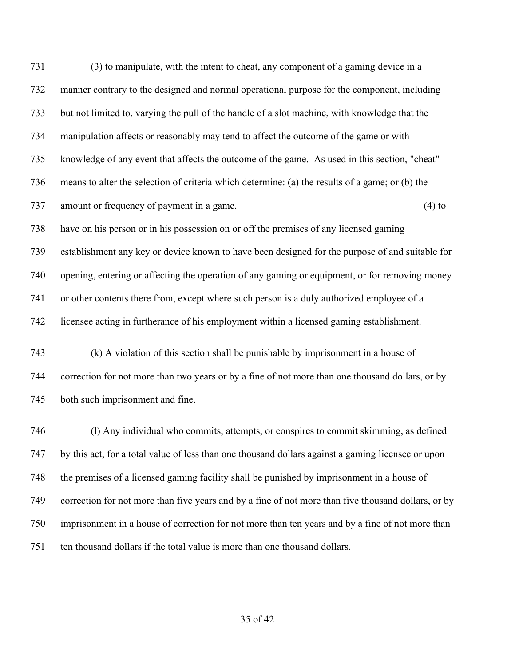(3) to manipulate, with the intent to cheat, any component of a gaming device in a manner contrary to the designed and normal operational purpose for the component, including but not limited to, varying the pull of the handle of a slot machine, with knowledge that the manipulation affects or reasonably may tend to affect the outcome of the game or with knowledge of any event that affects the outcome of the game. As used in this section, "cheat" means to alter the selection of criteria which determine: (a) the results of a game; or (b) the amount or frequency of payment in a game. (4) to have on his person or in his possession on or off the premises of any licensed gaming establishment any key or device known to have been designed for the purpose of and suitable for opening, entering or affecting the operation of any gaming or equipment, or for removing money or other contents there from, except where such person is a duly authorized employee of a licensee acting in furtherance of his employment within a licensed gaming establishment. (k) A violation of this section shall be punishable by imprisonment in a house of

 correction for not more than two years or by a fine of not more than one thousand dollars, or by both such imprisonment and fine.

 (l) Any individual who commits, attempts, or conspires to commit skimming, as defined by this act, for a total value of less than one thousand dollars against a gaming licensee or upon the premises of a licensed gaming facility shall be punished by imprisonment in a house of correction for not more than five years and by a fine of not more than five thousand dollars, or by imprisonment in a house of correction for not more than ten years and by a fine of not more than ten thousand dollars if the total value is more than one thousand dollars.

### of 42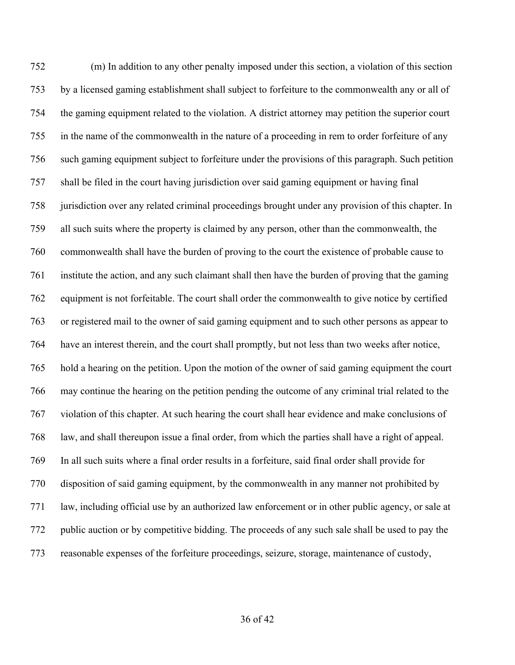(m) In addition to any other penalty imposed under this section, a violation of this section by a licensed gaming establishment shall subject to forfeiture to the commonwealth any or all of the gaming equipment related to the violation. A district attorney may petition the superior court in the name of the commonwealth in the nature of a proceeding in rem to order forfeiture of any such gaming equipment subject to forfeiture under the provisions of this paragraph. Such petition shall be filed in the court having jurisdiction over said gaming equipment or having final jurisdiction over any related criminal proceedings brought under any provision of this chapter. In all such suits where the property is claimed by any person, other than the commonwealth, the commonwealth shall have the burden of proving to the court the existence of probable cause to institute the action, and any such claimant shall then have the burden of proving that the gaming equipment is not forfeitable. The court shall order the commonwealth to give notice by certified or registered mail to the owner of said gaming equipment and to such other persons as appear to have an interest therein, and the court shall promptly, but not less than two weeks after notice, hold a hearing on the petition. Upon the motion of the owner of said gaming equipment the court may continue the hearing on the petition pending the outcome of any criminal trial related to the violation of this chapter. At such hearing the court shall hear evidence and make conclusions of law, and shall thereupon issue a final order, from which the parties shall have a right of appeal. In all such suits where a final order results in a forfeiture, said final order shall provide for disposition of said gaming equipment, by the commonwealth in any manner not prohibited by law, including official use by an authorized law enforcement or in other public agency, or sale at public auction or by competitive bidding. The proceeds of any such sale shall be used to pay the reasonable expenses of the forfeiture proceedings, seizure, storage, maintenance of custody,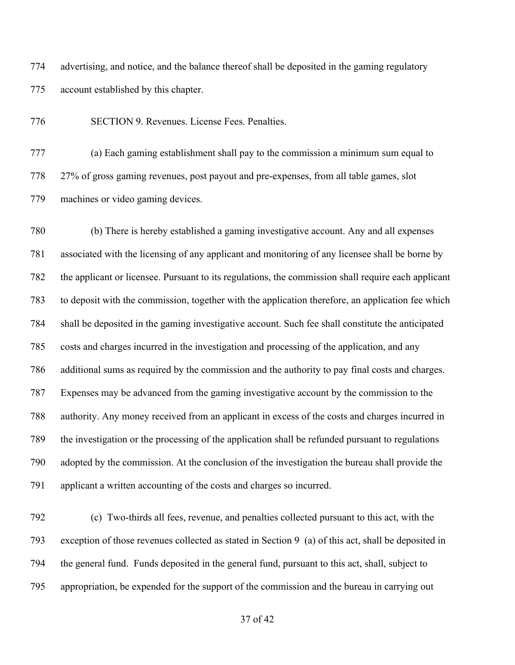advertising, and notice, and the balance thereof shall be deposited in the gaming regulatory account established by this chapter.

SECTION 9. Revenues. License Fees. Penalties.

 (a) Each gaming establishment shall pay to the commission a minimum sum equal to 27% of gross gaming revenues, post payout and pre-expenses, from all table games, slot machines or video gaming devices.

 (b) There is hereby established a gaming investigative account. Any and all expenses associated with the licensing of any applicant and monitoring of any licensee shall be borne by the applicant or licensee. Pursuant to its regulations, the commission shall require each applicant to deposit with the commission, together with the application therefore, an application fee which shall be deposited in the gaming investigative account. Such fee shall constitute the anticipated costs and charges incurred in the investigation and processing of the application, and any additional sums as required by the commission and the authority to pay final costs and charges. Expenses may be advanced from the gaming investigative account by the commission to the authority. Any money received from an applicant in excess of the costs and charges incurred in the investigation or the processing of the application shall be refunded pursuant to regulations adopted by the commission. At the conclusion of the investigation the bureau shall provide the applicant a written accounting of the costs and charges so incurred.

 (c) Two-thirds all fees, revenue, and penalties collected pursuant to this act, with the exception of those revenues collected as stated in Section 9 (a) of this act, shall be deposited in the general fund. Funds deposited in the general fund, pursuant to this act, shall, subject to appropriation, be expended for the support of the commission and the bureau in carrying out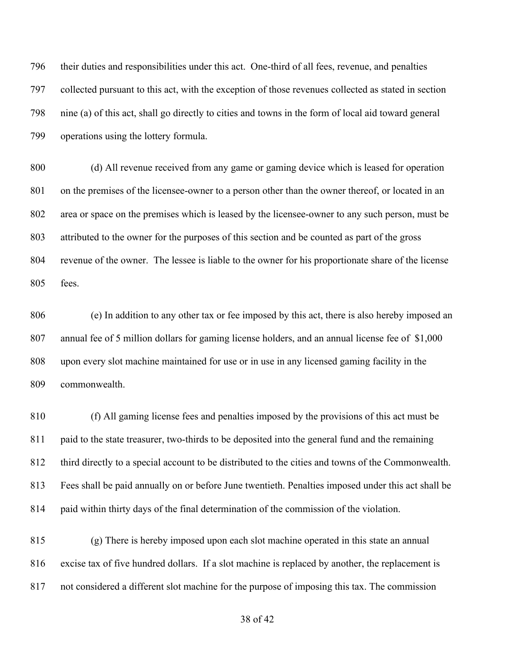their duties and responsibilities under this act. One-third of all fees, revenue, and penalties collected pursuant to this act, with the exception of those revenues collected as stated in section nine (a) of this act, shall go directly to cities and towns in the form of local aid toward general operations using the lottery formula.

 (d) All revenue received from any game or gaming device which is leased for operation on the premises of the licensee-owner to a person other than the owner thereof, or located in an area or space on the premises which is leased by the licensee-owner to any such person, must be attributed to the owner for the purposes of this section and be counted as part of the gross revenue of the owner. The lessee is liable to the owner for his proportionate share of the license fees.

 (e) In addition to any other tax or fee imposed by this act, there is also hereby imposed an annual fee of 5 million dollars for gaming license holders, and an annual license fee of \$1,000 upon every slot machine maintained for use or in use in any licensed gaming facility in the commonwealth.

 (f) All gaming license fees and penalties imposed by the provisions of this act must be paid to the state treasurer, two-thirds to be deposited into the general fund and the remaining third directly to a special account to be distributed to the cities and towns of the Commonwealth. Fees shall be paid annually on or before June twentieth. Penalties imposed under this act shall be paid within thirty days of the final determination of the commission of the violation.

 (g) There is hereby imposed upon each slot machine operated in this state an annual excise tax of five hundred dollars. If a slot machine is replaced by another, the replacement is not considered a different slot machine for the purpose of imposing this tax. The commission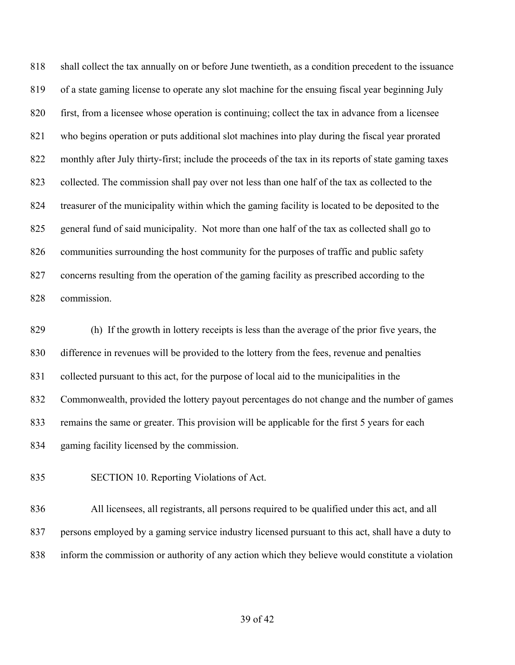shall collect the tax annually on or before June twentieth, as a condition precedent to the issuance of a state gaming license to operate any slot machine for the ensuing fiscal year beginning July first, from a licensee whose operation is continuing; collect the tax in advance from a licensee who begins operation or puts additional slot machines into play during the fiscal year prorated monthly after July thirty-first; include the proceeds of the tax in its reports of state gaming taxes collected. The commission shall pay over not less than one half of the tax as collected to the treasurer of the municipality within which the gaming facility is located to be deposited to the general fund of said municipality. Not more than one half of the tax as collected shall go to communities surrounding the host community for the purposes of traffic and public safety concerns resulting from the operation of the gaming facility as prescribed according to the commission.

 (h) If the growth in lottery receipts is less than the average of the prior five years, the difference in revenues will be provided to the lottery from the fees, revenue and penalties collected pursuant to this act, for the purpose of local aid to the municipalities in the Commonwealth, provided the lottery payout percentages do not change and the number of games remains the same or greater. This provision will be applicable for the first 5 years for each gaming facility licensed by the commission.

SECTION 10. Reporting Violations of Act.

 All licensees, all registrants, all persons required to be qualified under this act, and all persons employed by a gaming service industry licensed pursuant to this act, shall have a duty to inform the commission or authority of any action which they believe would constitute a violation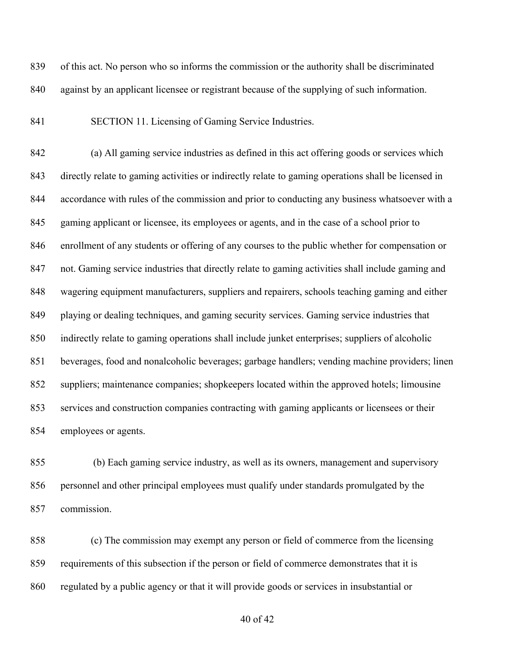of this act. No person who so informs the commission or the authority shall be discriminated against by an applicant licensee or registrant because of the supplying of such information.

841 SECTION 11. Licensing of Gaming Service Industries.

 (a) All gaming service industries as defined in this act offering goods or services which directly relate to gaming activities or indirectly relate to gaming operations shall be licensed in accordance with rules of the commission and prior to conducting any business whatsoever with a gaming applicant or licensee, its employees or agents, and in the case of a school prior to enrollment of any students or offering of any courses to the public whether for compensation or not. Gaming service industries that directly relate to gaming activities shall include gaming and wagering equipment manufacturers, suppliers and repairers, schools teaching gaming and either playing or dealing techniques, and gaming security services. Gaming service industries that indirectly relate to gaming operations shall include junket enterprises; suppliers of alcoholic beverages, food and nonalcoholic beverages; garbage handlers; vending machine providers; linen suppliers; maintenance companies; shopkeepers located within the approved hotels; limousine services and construction companies contracting with gaming applicants or licensees or their employees or agents.

 (b) Each gaming service industry, as well as its owners, management and supervisory personnel and other principal employees must qualify under standards promulgated by the commission.

 (c) The commission may exempt any person or field of commerce from the licensing requirements of this subsection if the person or field of commerce demonstrates that it is regulated by a public agency or that it will provide goods or services in insubstantial or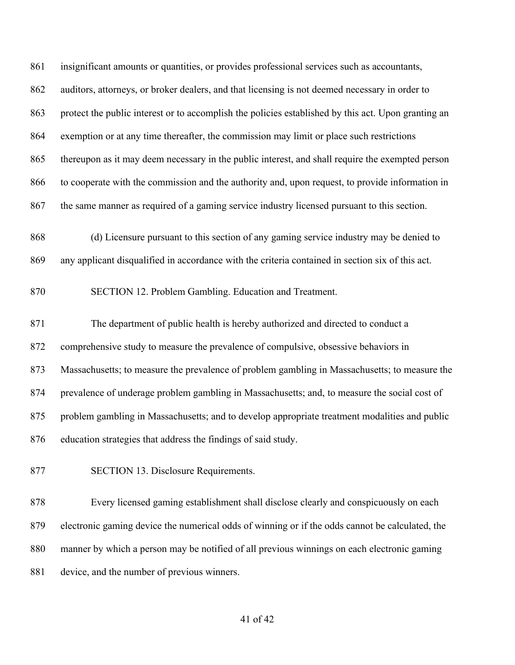insignificant amounts or quantities, or provides professional services such as accountants, auditors, attorneys, or broker dealers, and that licensing is not deemed necessary in order to protect the public interest or to accomplish the policies established by this act. Upon granting an exemption or at any time thereafter, the commission may limit or place such restrictions thereupon as it may deem necessary in the public interest, and shall require the exempted person to cooperate with the commission and the authority and, upon request, to provide information in the same manner as required of a gaming service industry licensed pursuant to this section.

 (d) Licensure pursuant to this section of any gaming service industry may be denied to any applicant disqualified in accordance with the criteria contained in section six of this act.

SECTION 12. Problem Gambling. Education and Treatment.

 The department of public health is hereby authorized and directed to conduct a comprehensive study to measure the prevalence of compulsive, obsessive behaviors in Massachusetts; to measure the prevalence of problem gambling in Massachusetts; to measure the prevalence of underage problem gambling in Massachusetts; and, to measure the social cost of problem gambling in Massachusetts; and to develop appropriate treatment modalities and public education strategies that address the findings of said study.

SECTION 13. Disclosure Requirements.

 Every licensed gaming establishment shall disclose clearly and conspicuously on each electronic gaming device the numerical odds of winning or if the odds cannot be calculated, the manner by which a person may be notified of all previous winnings on each electronic gaming device, and the number of previous winners.